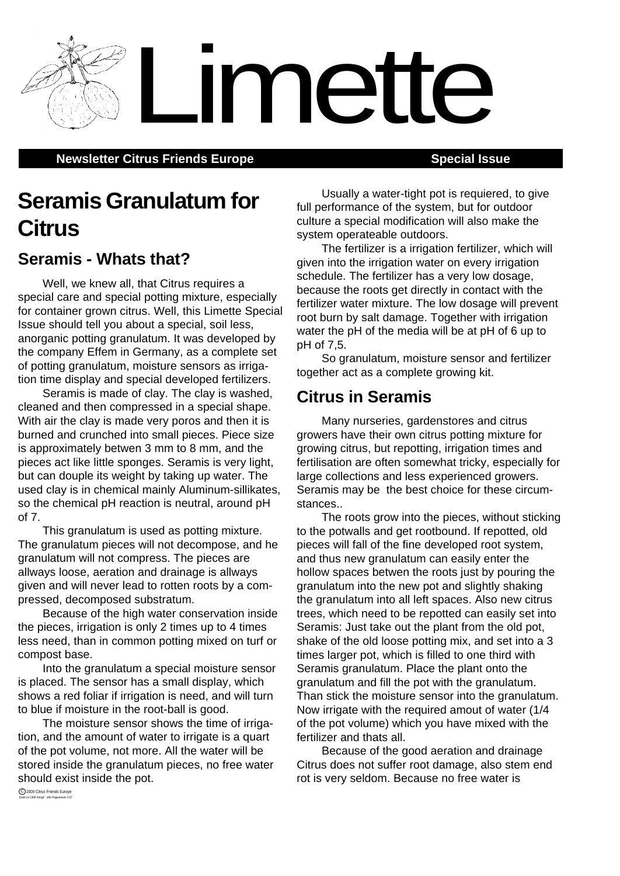**Newsletter Citrus Friends Europe <b>Special Issue** Special Issue

# **Seramis Granulatum for Citrus**

## **Seramis - Whats that?**

Well, we knew all, that Citrus requires a special care and special potting mixture, especially for container grown citrus. Well, this Limette Special Issue should tell you about a special, soil less, anorganic potting granulatum. It was developed by the company Effem in Germany, as a complete set of potting granulatum, moisture sensors as irrigation time display and special developed fertilizers.

Seramis is made of clay. The clay is washed, cleaned and then compressed in a special shape. With air the clay is made very poros and then it is burned and crunched into small pieces. Piece size is approximately betwen 3 mm to 8 mm, and the pieces act like little sponges. Seramis is very light, but can douple its weight by taking up water. The used clay is in chemical mainly Aluminum-sillikates, so the chemical pH reaction is neutral, around pH of 7.

This granulatum is used as potting mixture. The granulatum pieces will not decompose, and he granulatum will not compress. The pieces are allways loose, aeration and drainage is allways given and will never lead to rotten roots by a compressed, decomposed substratum.

Because of the high water conservation inside the pieces, irrigation is only 2 times up to 4 times less need, than in common potting mixed on turf or compost base.

Into the granulatum a special moisture sensor is placed. The sensor has a small display, which shows a red foliar if irrigation is need, and will turn to blue if moisture in the root-ball is good.

The moisture sensor shows the time of irrigation, and the amount of water to irrigate is a quart of the pot volume, not more. All the water will be stored inside the granulatum pieces, no free water should exist inside the pot.

Usually a water-tight pot is requiered, to give full performance of the system, but for outdoor culture a special modification will also make the system operateable outdoors.

The fertilizer is a irrigation fertilizer, which will given into the irrigation water on every irrigation schedule. The fertilizer has a very low dosage, because the roots get directly in contact with the fertilizer water mixture. The low dosage will prevent root burn by salt damage. Together with irrigation water the pH of the media will be at pH of 6 up to pH of 7,5.

So granulatum, moisture sensor and fertilizer together act as a complete growing kit.

### **Citrus in Seramis**

Limette

Many nurseries, gardenstores and citrus growers have their own citrus potting mixture for growing citrus, but repotting, irrigation times and fertilisation are often somewhat tricky, especially for large collections and less experienced growers. Seramis may be the best choice for these circumstances..

The roots grow into the pieces, without sticking to the potwalls and get rootbound. If repotted, old pieces will fall of the fine developed root system, and thus new granulatum can easily enter the hollow spaces betwen the roots just by pouring the granulatum into the new pot and slightly shaking the granulatum into all left spaces. Also new citrus trees, which need to be repotted can easily set into Seramis: Just take out the plant from the old pot, shake of the old loose potting mix, and set into a 3 times larger pot, which is filled to one third with Seramis granulatum. Place the plant onto the granulatum and fill the pot with the granulatum. Than stick the moisture sensor into the granulatum. Now irrigate with the required amout of water (1/4 of the pot volume) which you have mixed with the fertilizer and thats all.

Because of the good aeration and drainage Citrus does not suffer root damage, also stem end rot is very seldom. Because no free water is